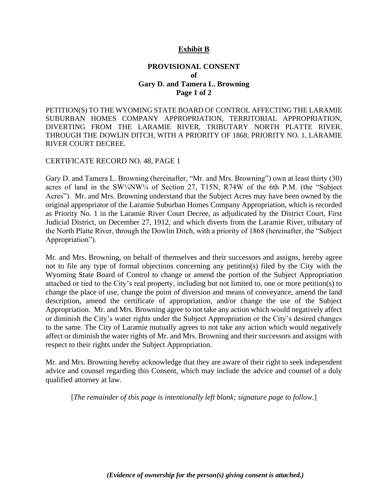## **Exhibit B**

## **PROVISIONAL CONSENT of Gary D. and Tamera L. Browning Page 1 of 2**

PETITION(S) TO THE WYOMING STATE BOARD OF CONTROL AFFECTING THE LARAMIE SUBURBAN HOMES COMPANY APPROPRIATION, TERRITORIAL APPROPRIATION, DIVERTING FROM THE LARAMIE RIVER, TRIBUTARY NORTH PLATTE RIVER, THROUGH THE DOWLIN DITCH, WITH A PRIORITY OF 1868; PRIORITY NO. 1, LARAMIE RIVER COURT DECREE.

## CERTIFICATE RECORD NO. 48, PAGE 1

Gary D. and Tamera L. Browning (hereinafter, "Mr. and Mrs. Browning") own at least thirty (30) acres of land in the SW¼NW¼ of Section 27, T15N, R74W of the 6th P.M. (the "Subject Acres"). Mr. and Mrs. Browning understand that the Subject Acres may have been owned by the original appropriator of the Laramie Suburban Homes Company Appropriation, which is recorded as Priority No. 1 in the Laramie River Court Decree, as adjudicated by the District Court, First Judicial District, on December 27, 1912, and which diverts from the Laramie River, tributary of the North Platte River, through the Dowlin Ditch, with a priority of 1868 (hereinafter, the "Subject Appropriation").

Mr. and Mrs. Browning, on behalf of themselves and their successors and assigns, hereby agree not to file any type of formal objections concerning any petition(s) filed by the City with the Wyoming State Board of Control to change or amend the portion of the Subject Appropriation attached or tied to the City's real property, including but not limited to, one or more petition(s) to change the place of use, change the point of diversion and means of conveyance, amend the land description, amend the certificate of appropriation, and/or change the use of the Subject Appropriation. Mr. and Mrs. Browning agree to not take any action which would negatively affect or diminish the City's water rights under the Subject Appropriation or the City's desired changes to the same. The City of Laramie mutually agrees to not take any action which would negatively affect or diminish the water rights of Mr. and Mrs. Browning and their successors and assigns with respect to their rights under the Subject Appropriation.

Mr. and Mrs. Browning hereby acknowledge that they are aware of their right to seek independent advice and counsel regarding this Consent, which may include the advice and counsel of a duly qualified attorney at law.

[*The remainder of this page is intentionally left blank; signature page to follow.*]